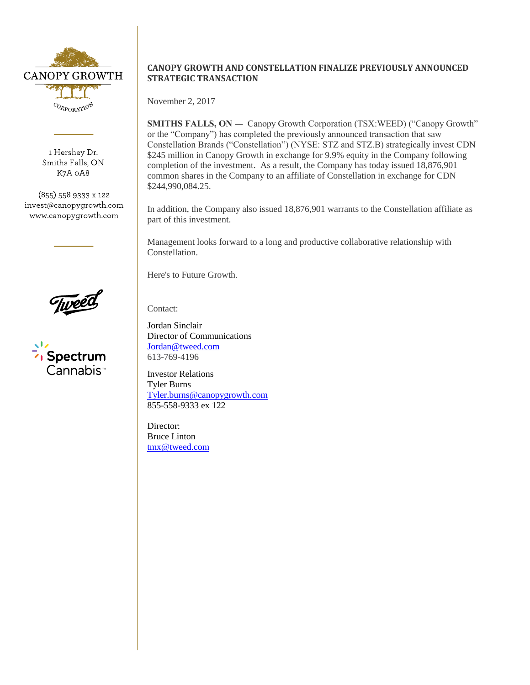

1 Hershey Dr. Smiths Falls, ON K7A 0A8

(855) 558 9333 x 122 invest@canopygrowth.com www.canopygrowth.com



Spectrum Cannabis<sup>.</sup>

## **CANOPY GROWTH AND CONSTELLATION FINALIZE PREVIOUSLY ANNOUNCED STRATEGIC TRANSACTION**

November 2, 2017

SMITHS FALLS, ON — Canopy Growth Corporation (TSX:WEED) ("Canopy Growth" or the "Company") has completed the previously announced transaction that saw Constellation Brands ("Constellation") (NYSE: STZ and STZ.B) strategically invest CDN \$245 million in Canopy Growth in exchange for 9.9% equity in the Company following completion of the investment. As a result, the Company has today issued 18,876,901 common shares in the Company to an affiliate of Constellation in exchange for CDN \$244,990,084.25.

In addition, the Company also issued 18,876,901 warrants to the Constellation affiliate as part of this investment.

Management looks forward to a long and productive collaborative relationship with Constellation.

Here's to Future Growth.

Contact:

Jordan Sinclair Director of Communications [Jordan@tweed.com](mailto:Jordan@tweed.com) 613-769-4196

Investor Relations Tyler Burns [Tyler.burns@canopygrowth.com](mailto:Tyler.burns@canopygrowth.com) 855-558-9333 ex 122

Director: Bruce Linton [tmx@tweed.com](mailto:tmx@tweed.com)